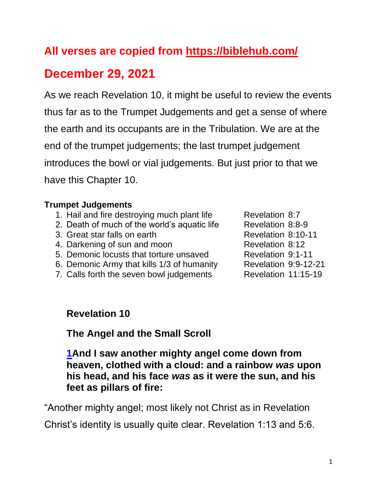# **All verses are copied from https://biblehub.com/**

# **December 29, 2021**

As we reach Revelation 10, it might be useful to review the events thus far as to the Trumpet Judgements and get a sense of where the earth and its occupants are in the Tribulation. We are at the end of the trumpet judgements; the last trumpet judgement introduces the bowl or vial judgements. But just prior to that we have this Chapter 10.

#### **Trumpet Judgements**

- 1. Hail and fire destroying much plant life Revelation 8:7
- 2. Death of much of the world's aquatic life Revelation 8:8-9
- 3. Great star falls on earth Revelation 8:10-11
- 4. Darkening of sun and moon Revelation 8:12
- 5. Demonic locusts that torture unsaved Revelation 9:1-11
- 6. Demonic Army that kills 1/3 of humanity Revelation 9:9-12-21
- 7. Calls forth the seven bowl judgements Revelation 11:15-19
- 

#### **Revelation 10**

**The Angel and the Small Scroll**

**[1A](https://biblehub.com/revelation/10-1.htm)nd I saw another mighty angel come down from heaven, clothed with a cloud: and a rainbow** *was* **upon his head, and his face** *was* **as it were the sun, and his feet as pillars of fire:**

"Another mighty angel; most likely not Christ as in Revelation

Christ's identity is usually quite clear. Revelation 1:13 and 5:6.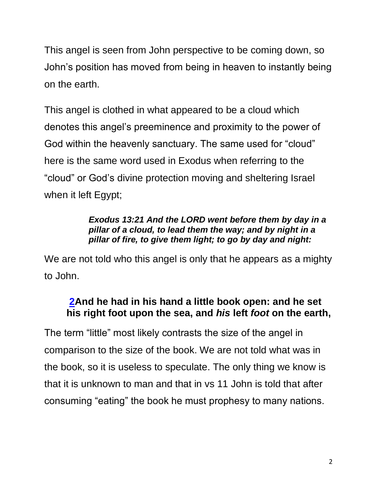This angel is seen from John perspective to be coming down, so John's position has moved from being in heaven to instantly being on the earth.

This angel is clothed in what appeared to be a cloud which denotes this angel's preeminence and proximity to the power of God within the heavenly sanctuary. The same used for "cloud" here is the same word used in Exodus when referring to the "cloud" or God's divine protection moving and sheltering Israel when it left Egypt;

#### *Exodus 13:21 And the LORD went before them by day in a pillar of a cloud, to lead them the way; and by night in a pillar of fire, to give them light; to go by day and night:*

We are not told who this angel is only that he appears as a mighty to John.

## **[2A](https://biblehub.com/revelation/10-2.htm)nd he had in his hand a little book open: and he set his right foot upon the sea, and** *his* **left** *foot* **on the earth,**

The term "little" most likely contrasts the size of the angel in comparison to the size of the book. We are not told what was in the book, so it is useless to speculate. The only thing we know is that it is unknown to man and that in vs 11 John is told that after consuming "eating" the book he must prophesy to many nations.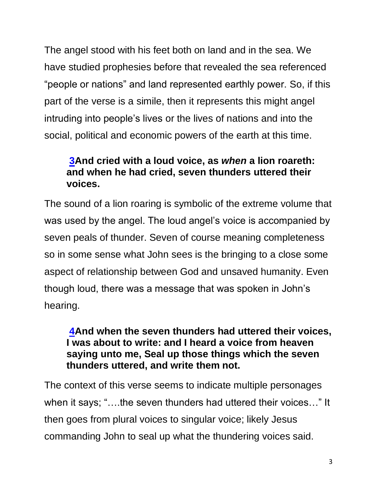The angel stood with his feet both on land and in the sea. We have studied prophesies before that revealed the sea referenced "people or nations" and land represented earthly power. So, if this part of the verse is a simile, then it represents this might angel intruding into people's lives or the lives of nations and into the social, political and economic powers of the earth at this time.

## **[3A](https://biblehub.com/revelation/10-3.htm)nd cried with a loud voice, as** *when* **a lion roareth: and when he had cried, seven thunders uttered their voices.**

The sound of a lion roaring is symbolic of the extreme volume that was used by the angel. The loud angel's voice is accompanied by seven peals of thunder. Seven of course meaning completeness so in some sense what John sees is the bringing to a close some aspect of relationship between God and unsaved humanity. Even though loud, there was a message that was spoken in John's hearing.

#### **[4A](https://biblehub.com/revelation/10-4.htm)nd when the seven thunders had uttered their voices, I was about to write: and I heard a voice from heaven saying unto me, Seal up those things which the seven thunders uttered, and write them not.**

The context of this verse seems to indicate multiple personages when it says; "….the seven thunders had uttered their voices…" It then goes from plural voices to singular voice; likely Jesus commanding John to seal up what the thundering voices said.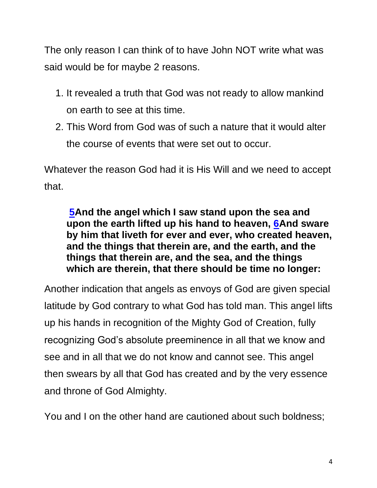The only reason I can think of to have John NOT write what was said would be for maybe 2 reasons.

- 1. It revealed a truth that God was not ready to allow mankind on earth to see at this time.
- 2. This Word from God was of such a nature that it would alter the course of events that were set out to occur.

Whatever the reason God had it is His Will and we need to accept that.

**[5A](https://biblehub.com/revelation/10-5.htm)nd the angel which I saw stand upon the sea and upon the earth lifted up his hand to heaven, [6A](https://biblehub.com/revelation/10-6.htm)nd sware by him that liveth for ever and ever, who created heaven, and the things that therein are, and the earth, and the things that therein are, and the sea, and the things which are therein, that there should be time no longer:** 

Another indication that angels as envoys of God are given special latitude by God contrary to what God has told man. This angel lifts up his hands in recognition of the Mighty God of Creation, fully recognizing God's absolute preeminence in all that we know and see and in all that we do not know and cannot see. This angel then swears by all that God has created and by the very essence and throne of God Almighty.

You and I on the other hand are cautioned about such boldness;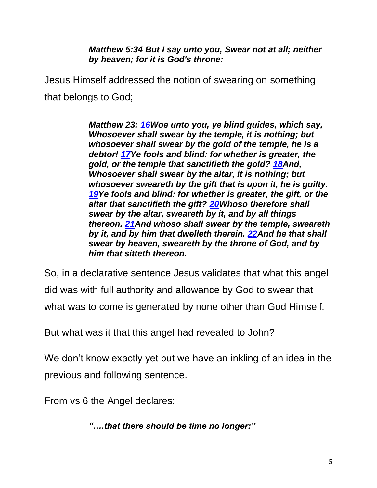*Matthew 5:34 But I say unto you, Swear not at all; neither by heaven; for it is God's throne:*

Jesus Himself addressed the notion of swearing on something that belongs to God;

> *Matthew 23: [16W](https://biblehub.com/matthew/23-16.htm)oe unto you, ye blind guides, which say, Whosoever shall swear by the temple, it is nothing; but whosoever shall swear by the gold of the temple, he is a debtor! [17Y](https://biblehub.com/matthew/23-17.htm)e fools and blind: for whether is greater, the gold, or the temple that sanctifieth the gold? [18A](https://biblehub.com/matthew/23-18.htm)nd, Whosoever shall swear by the altar, it is nothing; but whosoever sweareth by the gift that is upon it, he is guilty. [19Y](https://biblehub.com/matthew/23-19.htm)e fools and blind: for whether is greater, the gift, or the altar that sanctifieth the gift? [20W](https://biblehub.com/matthew/23-20.htm)hoso therefore shall swear by the altar, sweareth by it, and by all things thereon. [21A](https://biblehub.com/matthew/23-21.htm)nd whoso shall swear by the temple, sweareth by it, and by him that dwelleth therein. [22A](https://biblehub.com/matthew/23-22.htm)nd he that shall swear by heaven, sweareth by the throne of God, and by him that sitteth thereon.*

So, in a declarative sentence Jesus validates that what this angel did was with full authority and allowance by God to swear that what was to come is generated by none other than God Himself.

But what was it that this angel had revealed to John?

We don't know exactly yet but we have an inkling of an idea in the previous and following sentence.

From vs 6 the Angel declares:

*"….that there should be time no longer:"*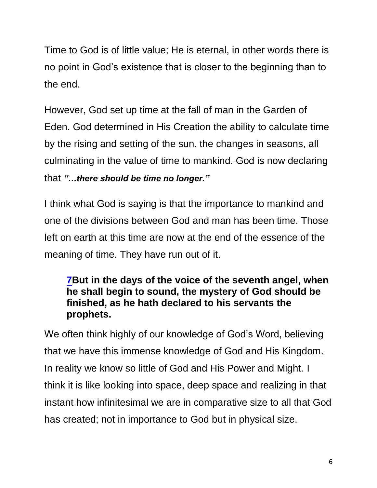Time to God is of little value; He is eternal, in other words there is no point in God's existence that is closer to the beginning than to the end.

However, God set up time at the fall of man in the Garden of Eden. God determined in His Creation the ability to calculate time by the rising and setting of the sun, the changes in seasons, all culminating in the value of time to mankind. God is now declaring that *"…there should be time no longer."*

I think what God is saying is that the importance to mankind and one of the divisions between God and man has been time. Those left on earth at this time are now at the end of the essence of the meaning of time. They have run out of it.

### **[7B](https://biblehub.com/revelation/10-7.htm)ut in the days of the voice of the seventh angel, when he shall begin to sound, the mystery of God should be finished, as he hath declared to his servants the prophets.**

We often think highly of our knowledge of God's Word, believing that we have this immense knowledge of God and His Kingdom. In reality we know so little of God and His Power and Might. I think it is like looking into space, deep space and realizing in that instant how infinitesimal we are in comparative size to all that God has created; not in importance to God but in physical size.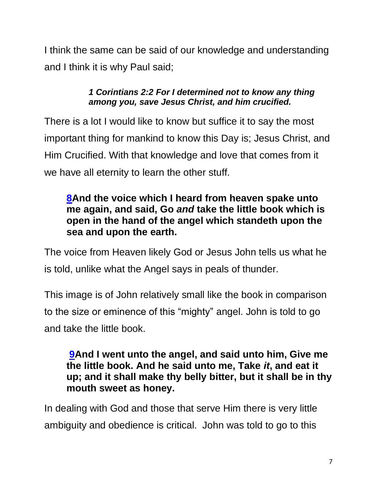I think the same can be said of our knowledge and understanding and I think it is why Paul said;

#### *1 Corintians 2:2 For I determined not to know any thing among you, save Jesus Christ, and him crucified.*

There is a lot I would like to know but suffice it to say the most important thing for mankind to know this Day is; Jesus Christ, and Him Crucified. With that knowledge and love that comes from it we have all eternity to learn the other stuff.

### **[8A](https://biblehub.com/revelation/10-8.htm)nd the voice which I heard from heaven spake unto me again, and said, Go** *and* **take the little book which is open in the hand of the angel which standeth upon the sea and upon the earth.**

The voice from Heaven likely God or Jesus John tells us what he is told, unlike what the Angel says in peals of thunder.

This image is of John relatively small like the book in comparison to the size or eminence of this "mighty" angel. John is told to go and take the little book.

#### **[9A](https://biblehub.com/revelation/10-9.htm)nd I went unto the angel, and said unto him, Give me the little book. And he said unto me, Take** *it***, and eat it up; and it shall make thy belly bitter, but it shall be in thy mouth sweet as honey.**

In dealing with God and those that serve Him there is very little ambiguity and obedience is critical. John was told to go to this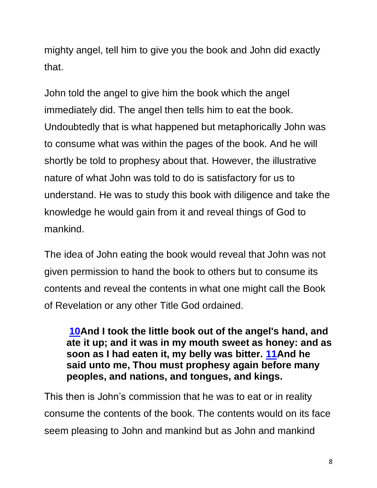mighty angel, tell him to give you the book and John did exactly that.

John told the angel to give him the book which the angel immediately did. The angel then tells him to eat the book. Undoubtedly that is what happened but metaphorically John was to consume what was within the pages of the book. And he will shortly be told to prophesy about that. However, the illustrative nature of what John was told to do is satisfactory for us to understand. He was to study this book with diligence and take the knowledge he would gain from it and reveal things of God to mankind.

The idea of John eating the book would reveal that John was not given permission to hand the book to others but to consume its contents and reveal the contents in what one might call the Book of Revelation or any other Title God ordained.

**[10A](https://biblehub.com/revelation/10-10.htm)nd I took the little book out of the angel's hand, and ate it up; and it was in my mouth sweet as honey: and as soon as I had eaten it, my belly was bitter. [11A](https://biblehub.com/revelation/10-11.htm)nd he said unto me, Thou must prophesy again before many peoples, and nations, and tongues, and kings.**

This then is John's commission that he was to eat or in reality consume the contents of the book. The contents would on its face seem pleasing to John and mankind but as John and mankind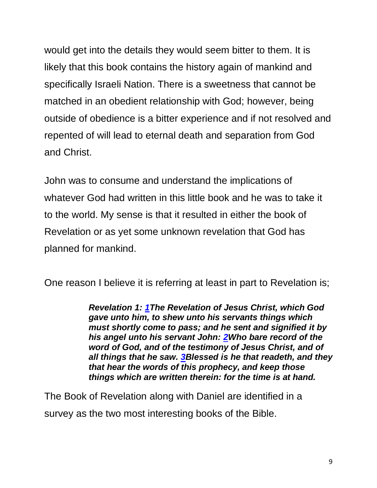would get into the details they would seem bitter to them. It is likely that this book contains the history again of mankind and specifically Israeli Nation. There is a sweetness that cannot be matched in an obedient relationship with God; however, being outside of obedience is a bitter experience and if not resolved and repented of will lead to eternal death and separation from God and Christ.

John was to consume and understand the implications of whatever God had written in this little book and he was to take it to the world. My sense is that it resulted in either the book of Revelation or as yet some unknown revelation that God has planned for mankind.

One reason I believe it is referring at least in part to Revelation is;

*Revelation 1: [1T](https://biblehub.com/revelation/1-1.htm)he Revelation of Jesus Christ, which God gave unto him, to shew unto his servants things which must shortly come to pass; and he sent and signified it by his angel unto his servant John: [2W](https://biblehub.com/revelation/1-2.htm)ho bare record of the word of God, and of the testimony of Jesus Christ, and of all things that he saw. [3B](https://biblehub.com/revelation/1-3.htm)lessed is he that readeth, and they that hear the words of this prophecy, and keep those things which are written therein: for the time is at hand.*

The Book of Revelation along with Daniel are identified in a survey as the two most interesting books of the Bible.